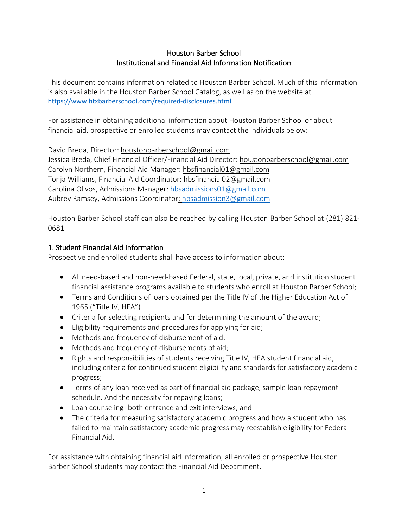## Houston Barber School Institutional and Financial Aid Information Notification

This document contains information related to Houston Barber School. Much of this information is also available in the Houston Barber School Catalog, as well as on the website at <https://www.htxbarberschool.com/required-disclosures.html>.

For assistance in obtaining additional information about Houston Barber School or about financial aid, prospective or enrolled students may contact the individuals below:

David Breda, Director: houstonbarberschool@gmail.com Jessica Breda, Chief Financial Officer/Financial Aid Director: houstonbarberschool@gmail.com Carolyn Northern, Financial Aid Manager: hbsfinancial01@gmail.com Tonja Williams, Financial Aid Coordinator: hbsfinancial02@gmail.com Carolina Olivos, Admissions Manager: [hbsadmissions01@gmail.com](mailto:hbsadmissions01@gmail.com) Aubrey Ramsey, Admissions Coordinator: [hbsadmission3@gmail.com](mailto:hbsadmission3@gmail.com)

Houston Barber School staff can also be reached by calling Houston Barber School at (281) 821- 0681

# 1. Student Financial Aid Information

Prospective and enrolled students shall have access to information about:

- All need-based and non-need-based Federal, state, local, private, and institution student financial assistance programs available to students who enroll at Houston Barber School;
- Terms and Conditions of loans obtained per the Title IV of the Higher Education Act of 1965 ("Title IV, HEA")
- Criteria for selecting recipients and for determining the amount of the award;
- Eligibility requirements and procedures for applying for aid;
- Methods and frequency of disbursement of aid;
- Methods and frequency of disbursements of aid;
- Rights and responsibilities of students receiving Title IV, HEA student financial aid, including criteria for continued student eligibility and standards for satisfactory academic progress;
- Terms of any loan received as part of financial aid package, sample loan repayment schedule. And the necessity for repaying loans;
- Loan counseling- both entrance and exit interviews; and
- The criteria for measuring satisfactory academic progress and how a student who has failed to maintain satisfactory academic progress may reestablish eligibility for Federal Financial Aid.

For assistance with obtaining financial aid information, all enrolled or prospective Houston Barber School students may contact the Financial Aid Department.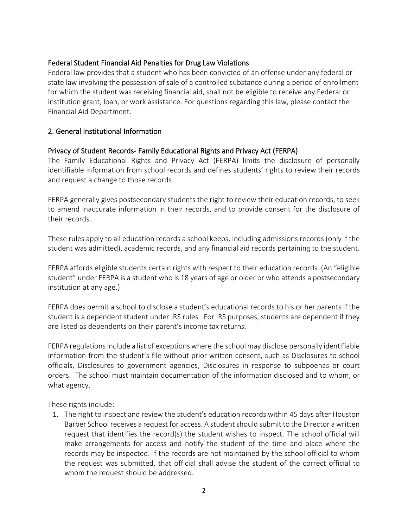## Federal Student Financial Aid Penalties for Drug Law Violations

Federal law provides that a student who has been convicted of an offense under any federal or state law involving the possession of sale of a controlled substance during a period of enrollment for which the student was receiving financial aid, shall not be eligible to receive any Federal or institution grant, loan, or work assistance. For questions regarding this law, please contact the Financial Aid Department.

## 2. General Institutional Information

## Privacy of Student Records- Family Educational Rights and Privacy Act (FERPA)

The Family Educational Rights and Privacy Act (FERPA) limits the disclosure of personally identifiable information from school records and defines students' rights to review their records and request a change to those records.

FERPA generally gives postsecondary students the right to review their education records, to seek to amend inaccurate information in their records, and to provide consent for the disclosure of their records.

These rules apply to all education records a school keeps, including admissions records (only if the student was admitted), academic records, and any financial aid records pertaining to the student.

FERPA affords eligible students certain rights with respect to their education records. (An "eligible student" under FERPA is a student who is 18 years of age or older or who attends a postsecondary institution at any age.)

FERPA does permit a school to disclose a student's educational records to his or her parents if the student is a dependent student under IRS rules. For IRS purposes, students are dependent if they are listed as dependents on their parent's income tax returns.

FERPA regulations include a list of exceptionswhere the school may disclose personally identifiable information from the student's file without prior written consent, such as Disclosures to school officials, Disclosures to government agencies, Disclosures in response to subpoenas or court orders. The school must maintain documentation of the information disclosed and to whom, or what agency.

These rights include:

1. The right to inspect and review the student's education records within 45 days after Houston Barber School receives a request for access. A student should submit to the Director a written request that identifies the record(s) the student wishes to inspect. The school official will make arrangements for access and notify the student of the time and place where the records may be inspected. If the records are not maintained by the school official to whom the request was submitted, that official shall advise the student of the correct official to whom the request should be addressed.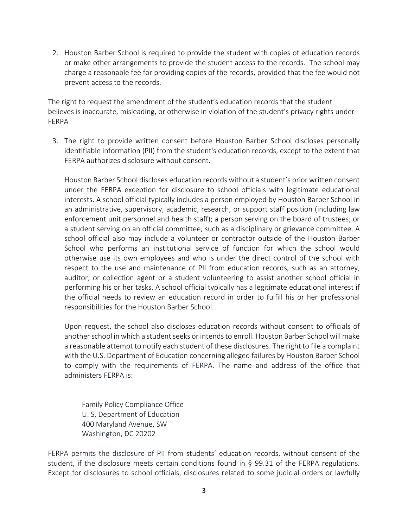2. Houston Barber School is required to provide the student with copies of education records or make other arrangements to provide the student access to the records. The school may charge a reasonable fee for providing copies of the records, provided that the fee would not prevent access to the records.

The right to request the amendment of the student's education records that the student believes is inaccurate, misleading, or otherwise in violation of the student's privacy rights under FERPA

3. The right to provide written consent before Houston Barber School discloses personally identifiable information (PII) from the student's education records, except to the extent that FERPA authorizes disclosure without consent.

Houston Barber School discloses education records without a student's prior written consent under the FERPA exception for disclosure to school officials with legitimate educational interests. A school official typically includes a person employed by Houston Barber School in an administrative, supervisory, academic, research, or support staff position (including law enforcement unit personnel and health staff); a person serving on the board of trustees; or a student serving on an official committee, such as a disciplinary or grievance committee. A school official also may include a volunteer or contractor outside of the Houston Barber School who performs an institutional service of function for which the school would otherwise use its own employees and who is under the direct control of the school with respect to the use and maintenance of PII from education records, such as an attorney, auditor, or collection agent or a student volunteering to assist another school official in performing his or her tasks. A school official typically has a legitimate educational interest if the official needs to review an education record in order to fulfill his or her professional responsibilities for the Houston Barber School.

Upon request, the school also discloses education records without consent to officials of another school in which a student seeks or intends to enroll. Houston Barber School will make a reasonable attempt to notify each student of these disclosures. The right to file a complaint with the U.S. Department of Education concerning alleged failures by Houston Barber School to comply with the requirements of FERPA. The name and address of the office that administers FERPA is:

Family Policy Compliance Office U. S. Department of Education 400 Maryland Avenue, SW Washington, DC 20202

FERPA permits the disclosure of PII from students' education records, without consent of the student, if the disclosure meets certain conditions found in § 99.31 of the FERPA regulations. Except for disclosures to school officials, disclosures related to some judicial orders or lawfully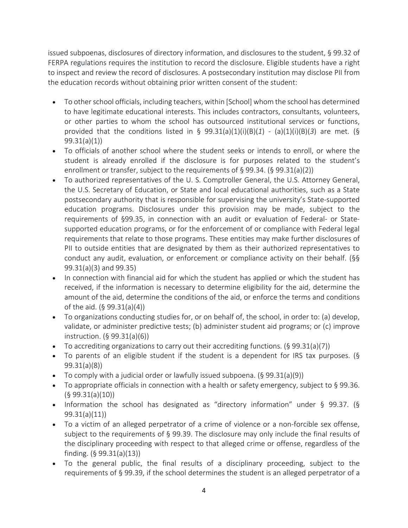issued subpoenas, disclosures of directory information, and disclosures to the student, § 99.32 of FERPA regulations requires the institution to record the disclosure. Eligible students have a right to inspect and review the record of disclosures. A postsecondary institution may disclose PII from the education records without obtaining prior written consent of the student:

- To other school officials, including teachers, within [School] whom the school has determined to have legitimate educational interests. This includes contractors, consultants, volunteers, or other parties to whom the school has outsourced institutional services or functions, provided that the conditions listed in § 99.31(a)(1)(i)(B)(*1*) - (a)(1)(i)(B)(*3*) are met. (§ 99.31(a)(1))
- To officials of another school where the student seeks or intends to enroll, or where the student is already enrolled if the disclosure is for purposes related to the student's enrollment or transfer, subject to the requirements of § 99.34. (§ 99.31(a)(2))
- To authorized representatives of the U. S. Comptroller General, the U.S. Attorney General, the U.S. Secretary of Education, or State and local educational authorities, such as a State postsecondary authority that is responsible for supervising the university's State-supported education programs. Disclosures under this provision may be made, subject to the requirements of §99.35, in connection with an audit or evaluation of Federal- or Statesupported education programs, or for the enforcement of or compliance with Federal legal requirements that relate to those programs. These entities may make further disclosures of PII to outside entities that are designated by them as their authorized representatives to conduct any audit, evaluation, or enforcement or compliance activity on their behalf. (§§ 99.31(a)(3) and 99.35)
- In connection with financial aid for which the student has applied or which the student has received, if the information is necessary to determine eligibility for the aid, determine the amount of the aid, determine the conditions of the aid, or enforce the terms and conditions of the aid. (§ 99.31(a)(4))
- To organizations conducting studies for, or on behalf of, the school, in order to: (a) develop, validate, or administer predictive tests; (b) administer student aid programs; or (c) improve instruction. (§ 99.31(a)(6))
- To accrediting organizations to carry out their accrediting functions. (§ 99.31(a)(7))
- To parents of an eligible student if the student is a dependent for IRS tax purposes. (§ 99.31(a)(8))
- To comply with a judicial order or lawfully issued subpoena.  $(§ 99.31(a)(9))$
- To appropriate officials in connection with a health or safety emergency, subject to § 99.36.  $(§ 99.31(a)(10))$
- Information the school has designated as "directory information" under § 99.37. (§ 99.31(a)(11))
- To a victim of an alleged perpetrator of a crime of violence or a non-forcible sex offense, subject to the requirements of § 99.39. The disclosure may only include the final results of the disciplinary proceeding with respect to that alleged crime or offense, regardless of the finding. (§ 99.31(a)(13))
- To the general public, the final results of a disciplinary proceeding, subject to the requirements of § 99.39, if the school determines the student is an alleged perpetrator of a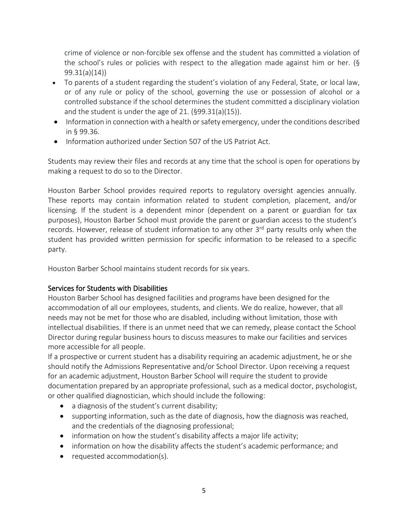crime of violence or non-forcible sex offense and the student has committed a violation of the school's rules or policies with respect to the allegation made against him or her. (§ 99.31(a)(14))

- To parents of a student regarding the student's violation of any Federal, State, or local law, or of any rule or policy of the school, governing the use or possession of alcohol or a controlled substance if the school determines the student committed a disciplinary violation and the student is under the age of 21. (§99.31(a)(15)).
- Information in connection with a health or safety emergency, under the conditions described in § 99.36.
- Information authorized under Section 507 of the US Patriot Act.

Students may review their files and records at any time that the school is open for operations by making a request to do so to the Director.

Houston Barber School provides required reports to regulatory oversight agencies annually. These reports may contain information related to student completion, placement, and/or licensing. If the student is a dependent minor (dependent on a parent or guardian for tax purposes), Houston Barber School must provide the parent or guardian access to the student's records. However, release of student information to any other 3<sup>rd</sup> party results only when the student has provided written permission for specific information to be released to a specific party.

Houston Barber School maintains student records for six years.

## Services for Students with Disabilities

Houston Barber School has designed facilities and programs have been designed for the accommodation of all our employees, students, and clients. We do realize, however, that all needs may not be met for those who are disabled, including without limitation, those with intellectual disabilities. If there is an unmet need that we can remedy, please contact the School Director during regular business hours to discuss measures to make our facilities and services more accessible for all people.

If a prospective or current student has a disability requiring an academic adjustment, he or she should notify the Admissions Representative and/or School Director. Upon receiving a request for an academic adjustment, Houston Barber School will require the student to provide documentation prepared by an appropriate professional, such as a medical doctor, psychologist, or other qualified diagnostician, which should include the following:

- a diagnosis of the student's current disability;
- supporting information, such as the date of diagnosis, how the diagnosis was reached, and the credentials of the diagnosing professional;
- information on how the student's disability affects a major life activity;
- information on how the disability affects the student's academic performance; and
- requested accommodation(s).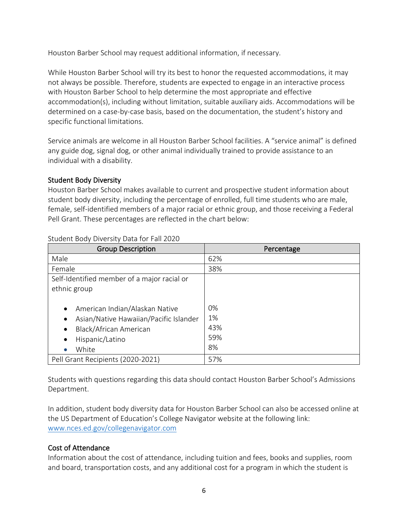Houston Barber School may request additional information, if necessary.

While Houston Barber School will try its best to honor the requested accommodations, it may not always be possible. Therefore, students are expected to engage in an interactive process with Houston Barber School to help determine the most appropriate and effective accommodation(s), including without limitation, suitable auxiliary aids. Accommodations will be determined on a case-by-case basis, based on the documentation, the student's history and specific functional limitations.

Service animals are welcome in all Houston Barber School facilities. A "service animal" is defined any guide dog, signal dog, or other animal individually trained to provide assistance to an individual with a disability.

# Student Body Diversity

Houston Barber School makes available to current and prospective student information about student body diversity, including the percentage of enrolled, full time students who are male, female, self-identified members of a major racial or ethnic group, and those receiving a Federal Pell Grant. These percentages are reflected in the chart below:

| <b>Group Description</b>                                                                                                                                                                        | Percentage                   |
|-------------------------------------------------------------------------------------------------------------------------------------------------------------------------------------------------|------------------------------|
| Male                                                                                                                                                                                            | 62%                          |
| Female                                                                                                                                                                                          | 38%                          |
| Self-Identified member of a major racial or                                                                                                                                                     |                              |
| ethnic group                                                                                                                                                                                    |                              |
| American Indian/Alaskan Native<br>$\bullet$<br>Asian/Native Hawaiian/Pacific Islander<br>$\bullet$<br>Black/African American<br>$\bullet$<br>Hispanic/Latino<br>$\bullet$<br>White<br>$\bullet$ | 0%<br>1%<br>43%<br>59%<br>8% |
| Pell Grant Recipients (2020-2021)                                                                                                                                                               | 57%                          |

Student Body Diversity Data for Fall 2020

Students with questions regarding this data should contact Houston Barber School's Admissions Department.

In addition, student body diversity data for Houston Barber School can also be accessed online at the US Department of Education's College Navigator website at the following link: [www.nces.ed.gov/collegenavigator.com](http://www.nces.ed.gov/collegenavigator.com)

# Cost of Attendance

Information about the cost of attendance, including tuition and fees, books and supplies, room and board, transportation costs, and any additional cost for a program in which the student is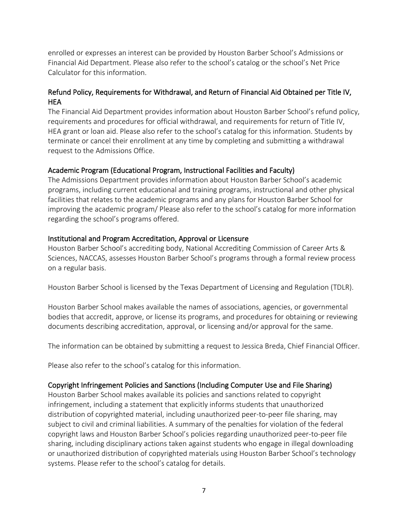enrolled or expresses an interest can be provided by Houston Barber School's Admissions or Financial Aid Department. Please also refer to the school's catalog or the school's Net Price Calculator for this information.

## Refund Policy, Requirements for Withdrawal, and Return of Financial Aid Obtained per Title IV, HEA

The Financial Aid Department provides information about Houston Barber School's refund policy, requirements and procedures for official withdrawal, and requirements for return of Title IV, HEA grant or loan aid. Please also refer to the school's catalog for this information. Students by terminate or cancel their enrollment at any time by completing and submitting a withdrawal request to the Admissions Office.

## Academic Program (Educational Program, Instructional Facilities and Faculty)

The Admissions Department provides information about Houston Barber School's academic programs, including current educational and training programs, instructional and other physical facilities that relates to the academic programs and any plans for Houston Barber School for improving the academic program/ Please also refer to the school's catalog for more information regarding the school's programs offered.

## Institutional and Program Accreditation, Approval or Licensure

Houston Barber School's accrediting body, National Accrediting Commission of Career Arts & Sciences, NACCAS, assesses Houston Barber School's programs through a formal review process on a regular basis.

Houston Barber School is licensed by the Texas Department of Licensing and Regulation (TDLR).

Houston Barber School makes available the names of associations, agencies, or governmental bodies that accredit, approve, or license its programs, and procedures for obtaining or reviewing documents describing accreditation, approval, or licensing and/or approval for the same.

The information can be obtained by submitting a request to Jessica Breda, Chief Financial Officer.

Please also refer to the school's catalog for this information.

## Copyright Infringement Policies and Sanctions (Including Computer Use and File Sharing)

Houston Barber School makes available its policies and sanctions related to copyright infringement, including a statement that explicitly informs students that unauthorized distribution of copyrighted material, including unauthorized peer-to-peer file sharing, may subject to civil and criminal liabilities. A summary of the penalties for violation of the federal copyright laws and Houston Barber School's policies regarding unauthorized peer-to-peer file sharing, including disciplinary actions taken against students who engage in illegal downloading or unauthorized distribution of copyrighted materials using Houston Barber School's technology systems. Please refer to the school's catalog for details.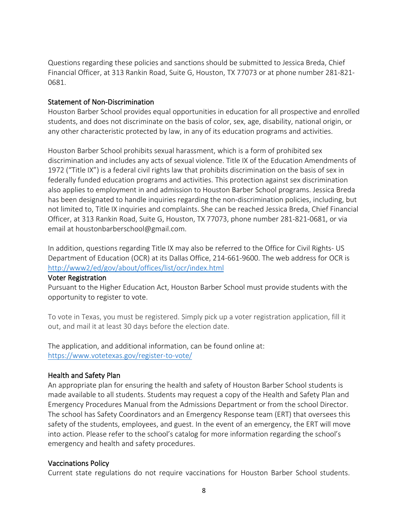Questions regarding these policies and sanctions should be submitted to Jessica Breda, Chief Financial Officer, at 313 Rankin Road, Suite G, Houston, TX 77073 or at phone number 281-821- 0681.

### Statement of Non-Discrimination

Houston Barber School provides equal opportunities in education for all prospective and enrolled students, and does not discriminate on the basis of color, sex, age, disability, national origin, or any other characteristic protected by law, in any of its education programs and activities.

Houston Barber School prohibits sexual harassment, which is a form of prohibited sex discrimination and includes any acts of sexual violence. Title IX of the Education Amendments of 1972 ("Title IX") is a federal civil rights law that prohibits discrimination on the basis of sex in federally funded education programs and activities. This protection against sex discrimination also applies to employment in and admission to Houston Barber School programs. Jessica Breda has been designated to handle inquiries regarding the non-discrimination policies, including, but not limited to, Title IX inquiries and complaints. She can be reached Jessica Breda, Chief Financial Officer, at 313 Rankin Road, Suite G, Houston, TX 77073, phone number 281-821-0681, or via email at houstonbarberschool@gmail.com.

In addition, questions regarding Title IX may also be referred to the Office for Civil Rights- US Department of Education (OCR) at its Dallas Office, 214-661-9600. The web address for OCR is <http://www2/ed/gov/about/offices/list/ocr/index.html>

#### Voter Registration

Pursuant to the Higher Education Act, Houston Barber School must provide students with the opportunity to register to vote.

To vote in Texas, you must be registered. Simply pick up a voter registration application, fill it out, and mail it at least 30 days before the election date.

The application, and additional information, can be found online at: <https://www.votetexas.gov/register-to-vote/>

### Health and Safety Plan

An appropriate plan for ensuring the health and safety of Houston Barber School students is made available to all students. Students may request a copy of the Health and Safety Plan and Emergency Procedures Manual from the Admissions Department or from the school Director. The school has Safety Coordinators and an Emergency Response team (ERT) that oversees this safety of the students, employees, and guest. In the event of an emergency, the ERT will move into action. Please refer to the school's catalog for more information regarding the school's emergency and health and safety procedures.

#### Vaccinations Policy

Current state regulations do not require vaccinations for Houston Barber School students.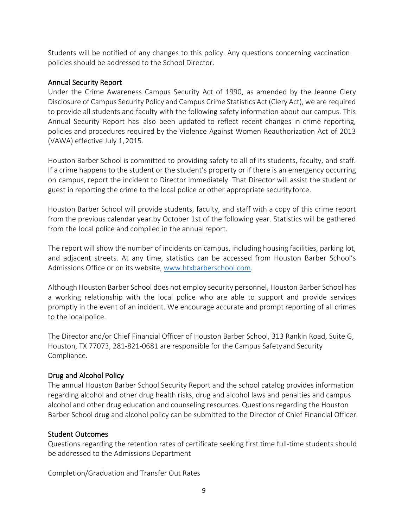Students will be notified of any changes to this policy. Any questions concerning vaccination policies should be addressed to the School Director.

## Annual Security Report

Under the Crime Awareness Campus Security Act of 1990, as amended by the Jeanne Clery Disclosure of Campus Security Policy and Campus Crime Statistics Act (Clery Act), we are required to provide all students and faculty with the following safety information about our campus. This Annual Security Report has also been updated to reflect recent changes in crime reporting, policies and procedures required by the Violence Against Women Reauthorization Act of 2013 (VAWA) effective July 1,2015.

Houston Barber School is committed to providing safety to all of its students, faculty, and staff. If a crime happens to the student or the student's property or if there is an emergency occurring on campus, report the incident to Director immediately. That Director will assist the student or guest in reporting the crime to the local police or other appropriate securityforce.

Houston Barber School will provide students, faculty, and staff with a copy of this crime report from the previous calendar year by October 1st of the following year. Statistics will be gathered from the local police and compiled in the annual report.

The report will show the number of incidents on campus, including housing facilities, parking lot, and adjacent streets. At any time, statistics can be accessed from Houston Barber School's Admissions Office or on its website, [www.htxbarberschool.com.](http://www.htxbarberschool.com/)

Although Houston Barber School does not employ security personnel, Houston Barber School has a working relationship with the local police who are able to support and provide services promptly in the event of an incident. We encourage accurate and prompt reporting of all crimes to the localpolice.

The Director and/or Chief Financial Officer of Houston Barber School, 313 Rankin Road, Suite G, Houston, TX 77073, 281-821-0681 are responsible for the Campus Safetyand Security Compliance.

## Drug and Alcohol Policy

The annual Houston Barber School Security Report and the school catalog provides information regarding alcohol and other drug health risks, drug and alcohol laws and penalties and campus alcohol and other drug education and counseling resources. Questions regarding the Houston Barber School drug and alcohol policy can be submitted to the Director of Chief Financial Officer.

## Student Outcomes

Questions regarding the retention rates of certificate seeking first time full-time students should be addressed to the Admissions Department

Completion/Graduation and Transfer Out Rates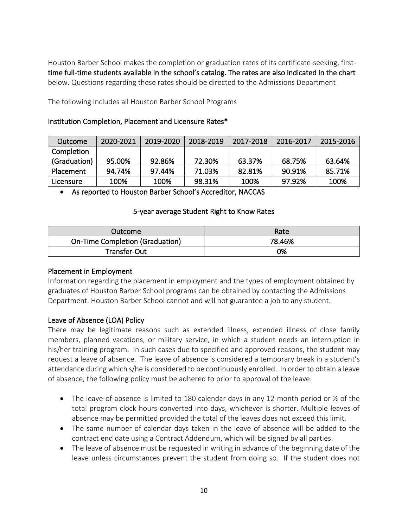Houston Barber School makes the completion or graduation rates of its certificate-seeking, firsttime full-time students available in the school's catalog. The rates are also indicated in the chart below. Questions regarding these rates should be directed to the Admissions Department

The following includes all Houston Barber School Programs

### Institution Completion, Placement and Licensure Rates\*

| Outcome      | 2020-2021 | 2019-2020 | 2018-2019 | 2017-2018 | 2016-2017 | 2015-2016 |
|--------------|-----------|-----------|-----------|-----------|-----------|-----------|
| Completion   |           |           |           |           |           |           |
| (Graduation) | 95.00%    | 92.86%    | 72.30%    | 63.37%    | 68.75%    | 63.64%    |
| Placement    | 94.74%    | 97.44%    | 71.03%    | 82.81%    | 90.91%    | 85.71%    |
| Licensure    | 100%      | 100%      | 98.31%    | 100%      | 97.92%    | 100%      |

• As reported to Houston Barber School's Accreditor, NACCAS

### 5-year average Student Right to Know Rates

| Outcome                                | Rate   |
|----------------------------------------|--------|
| <b>On-Time Completion (Graduation)</b> | 78.46% |
| Transfer-Out                           | 0%     |

### Placement in Employment

Information regarding the placement in employment and the types of employment obtained by graduates of Houston Barber School programs can be obtained by contacting the Admissions Department. Houston Barber School cannot and will not guarantee a job to any student.

## Leave of Absence (LOA) Policy

There may be legitimate reasons such as extended illness, extended illness of close family members, planned vacations, or military service, in which a student needs an interruption in his/her training program. In such cases due to specified and approved reasons, the student may request a leave of absence. The leave of absence is considered a temporary break in a student's attendance during which s/he is considered to be continuously enrolled. In order to obtain a leave of absence, the following policy must be adhered to prior to approval of the leave:

- The leave-of-absence is limited to 180 calendar days in any 12-month period or  $\frac{1}{2}$  of the total program clock hours converted into days, whichever is shorter. Multiple leaves of absence may be permitted provided the total of the leaves does not exceed this limit.
- The same number of calendar days taken in the leave of absence will be added to the contract end date using a Contract Addendum, which will be signed by all parties.
- The leave of absence must be requested in writing in advance of the beginning date of the leave unless circumstances prevent the student from doing so. If the student does not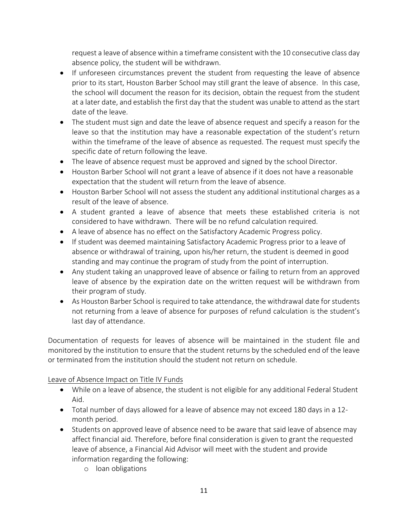request a leave of absence within a timeframe consistent with the 10 consecutive class day absence policy, the student will be withdrawn.

- If unforeseen circumstances prevent the student from requesting the leave of absence prior to its start, Houston Barber School may still grant the leave of absence. In this case, the school will document the reason for its decision, obtain the request from the student at a later date, and establish the first day that the student was unable to attend as the start date of the leave.
- The student must sign and date the leave of absence request and specify a reason for the leave so that the institution may have a reasonable expectation of the student's return within the timeframe of the leave of absence as requested. The request must specify the specific date of return following the leave.
- The leave of absence request must be approved and signed by the school Director.
- Houston Barber School will not grant a leave of absence if it does not have a reasonable expectation that the student will return from the leave of absence.
- Houston Barber School will not assess the student any additional institutional charges as a result of the leave of absence.
- A student granted a leave of absence that meets these established criteria is not considered to have withdrawn. There will be no refund calculation required.
- A leave of absence has no effect on the Satisfactory Academic Progress policy.
- If student was deemed maintaining Satisfactory Academic Progress prior to a leave of absence or withdrawal of training, upon his/her return, the student is deemed in good standing and may continue the program of study from the point of interruption.
- Any student taking an unapproved leave of absence or failing to return from an approved leave of absence by the expiration date on the written request will be withdrawn from their program of study.
- As Houston Barber School is required to take attendance, the withdrawal date for students not returning from a leave of absence for purposes of refund calculation is the student's last day of attendance.

Documentation of requests for leaves of absence will be maintained in the student file and monitored by the institution to ensure that the student returns by the scheduled end of the leave or terminated from the institution should the student not return on schedule.

## Leave of Absence Impact on Title IV Funds

- While on a leave of absence, the student is not eligible for any additional Federal Student Aid.
- Total number of days allowed for a leave of absence may not exceed 180 days in a 12 month period.
- Students on approved leave of absence need to be aware that said leave of absence may affect financial aid. Therefore, before final consideration is given to grant the requested leave of absence, a Financial Aid Advisor will meet with the student and provide information regarding the following:
	- o loan obligations